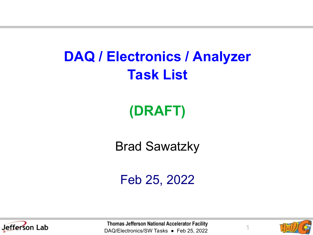#### **DAQ / Electronics / Analyzer Task List**

#### **(DRAFT)**

Brad Sawatzky

Feb 25, 2022



Thomas Jefferson National Accelerator Facility<br>DAQ/Electronics/SW Tasks ● Feb 25, 2022

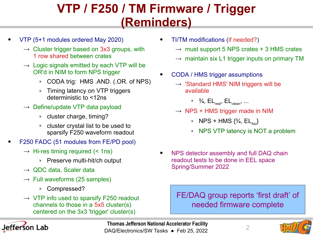#### **VTP / F250 / TM Firmware / Trigger (Reminders)**

- VTP (5+1 modules ordered May 2020)
	- $\rightarrow$  Cluster trigger based on 3x3 groups, with 1 row shared between crates
	- $\rightarrow$  Logic signals emitted by each VTP will be OR'd in NIM to form NPS trigger
		- » CODA trig: HMS .AND. (.OR. of NPS)
		- » Timing latency on VTP triggers deterministic to <12ns
	- $\rightarrow$  Define/update VTP data payload
		- » cluster charge, timing?
		- » cluster crystal list to be used to sparsify F250 waveform readout
- F250 FADC (51 modules from FE/PD pool)
	- $\rightarrow$  Hi-res timing required (< 1ns)
		- » Preserve multi-hit/ch output
	- $\rightarrow$  QDC data, Scaler data
	- $\rightarrow$  Full waveforms (25 samples)
		- » Compressed?
	- $\rightarrow$  VTP info used to sparsify F250 readout channels to those in a 5x5 cluster(s) centered on the 3x3 'trigger' cluster(s)



- TI/TM modifications (if needed?)
	- $\rightarrow$  must support 5 NPS crates + 3 HMS crates
	- $\rightarrow$  maintain six L1 trigger inputs on primary TM
- CODA / HMS trigger assumptions
	- $\rightarrow$  'Standard HMS' NIM triggers will be available
		- »  $\frac{3}{4}$ , EL<sub>real</sub>, EL<sub>clean</sub>, ...
	- $\rightarrow$  NPS + HMS trigger made in NIM
		- » NPS + HMS {¾, EL*foo*}
		- » NPS VTP latency is NOT a problem
- NPS detector assembly and full DAQ chain readout tests to be done in EEL space Spring/Summer 2022

FE/DAQ group reports 'first draft' of needed firmware complete





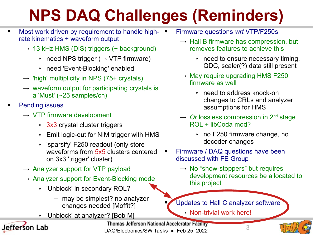# **NPS DAQ Challenges (Reminders)**

- Most work driven by requirement to handle highrate kinematics + waveform output
	- $\rightarrow$  13 kHz HMS (DIS) triggers (+ background)
		- » need NPS trigger ( $\rightarrow$  VTP firmware)
		- » need 'Event-Blocking' enabled
	- $\rightarrow$  'high' multiplicity in NPS (75+ crystals)
	- $\rightarrow$  waveform output for participating crystals is a 'Must' (~25 samples/ch)
- **Pending issues** 
	- $\rightarrow$  VTP firmware development
		- » 3x3 crystal cluster triggers
		- » Emit logic-out for NIM trigger with HMS
		- » 'sparsify' F250 readout (only store waveforms from 5x5 clusters centered on 3x3 'trigger' cluster)
	- $\rightarrow$  Analyzer support for VTP payload
	- $\rightarrow$  Analyzer support for Event-Blocking mode
		- » 'Unblock' in secondary ROL?
			- may be simplest? no analyzer changes needed [Moffit?]
		- » 'Unblock' at analyzer? [Bob M]



Thomas Jefferson National Accelerator Facility<br>DAQ/Electronics/SW Tasks ● Feb 25, 2022

- Firmware questions *wrt* VTP/F250s
	- $\rightarrow$  Hall B firmware has compression, but removes features to achieve this
		- » need to ensure necessary timing, QDC, scaler(?) data still present
	- $\rightarrow$  May require upgrading HMS F250 firmware as well
		- » need to address knock-on changes to CRLs and analyzer assumptions for HMS
	- $\rightarrow$  *Or* lossless compression in 2<sup>nd</sup> stage ROL + libCoda mod?
		- » no F250 firmware change, no decoder changes
- Firmware / DAQ questions have been discussed with FE Group
	- $\rightarrow$  No "show-stoppers" but requires development resources be allocated to this project

Updates to Hall C analyzer software

 $\rightarrow$  Non-trivial work here!

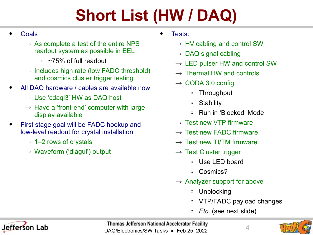# **Short List (HW / DAQ)**

#### • Goals

- $\rightarrow$  As complete a test of the entire NPS readout system as possible in EEL
	- $\approx$  ~75% of full readout
- $\rightarrow$  Includes high rate (low FADC threshold) and cosmics cluster trigger testing
- All DAQ hardware / cables are available now
	- $\rightarrow$  Use 'cdaql3' HW as DAQ host
	- $\rightarrow$  Have a 'front-end' computer with large display available
- First stage goal will be FADC hookup and low-level readout for crystal installation
	- $\rightarrow$  1–2 rows of crystals
	- $\rightarrow$  Waveform ('diagui') output
- Tests:
	- $\rightarrow$  HV cabling and control SW
	- $\rightarrow$  DAQ signal cabling
	- $\rightarrow$  LED pulser HW and control SW
	- $\rightarrow$  Thermal HW and controls
	- $\rightarrow$  CODA 3.0 config
		- » Throughput
		- » Stability
		- » Run in 'Blocked' Mode
	- $\rightarrow$  Test new VTP firmware
	- $\rightarrow$  Test new FADC firmware
	- $\rightarrow$  Test new TI/TM firmware
	- $\rightarrow$  Test Cluster trigger
		- » Use LED board
		- » Cosmics?
	- $\rightarrow$  Analyzer support for above
		- » Unblocking
		- » VTP/FADC payload changes
		- » *Etc*. (see next slide)



Thomas Jefferson National Accelerator Facility<br>DAQ/Electronics/SW Tasks ● Feb 25, 2022

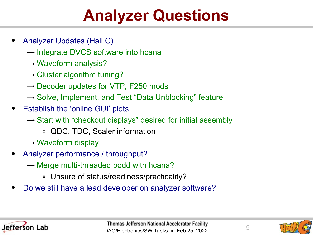#### **Analyzer Questions**

- Analyzer Updates (Hall C)
	- $\rightarrow$  Integrate DVCS software into hcana
	- $\rightarrow$  Waveform analysis?
	- $\rightarrow$  Cluster algorithm tuning?
	- $\rightarrow$  Decoder updates for VTP, F250 mods
	- $\rightarrow$  Solve, Implement, and Test "Data Unblocking" feature
- Establish the 'online GUI' plots
	- $\rightarrow$  Start with "checkout displays" desired for initial assembly
		- » QDC, TDC, Scaler information
	- $\rightarrow$  Waveform display
- Analyzer performance / throughput?
	- $\rightarrow$  Merge multi-threaded podd with hcana?
		- » Unsure of status/readiness/practicality?
- Do we still have a lead developer on analyzer software?



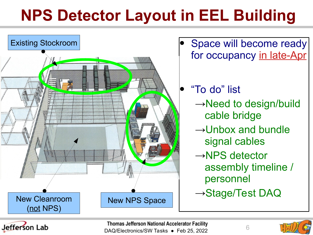## **NPS Detector Layout in EEL Building**





Thomas Jefferson National Accelerator Facility<br>DAQ/Electronics/SW Tasks ● Feb 25, 2022

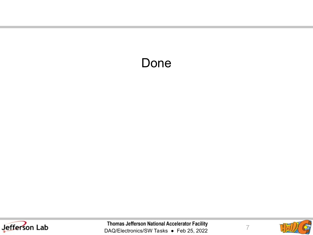#### Done



Thomas Jefferson National Accelerator Facility<br>DAQ/Electronics/SW Tasks • Feb 25, 2022



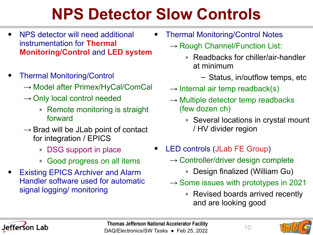### **NPS Detector Slow Controls**

- NPS detector will need additional instrumentation for **Thermal Monitoring/Control** and **LED system**
- Thermal Monitoring/Control
	- $\rightarrow$  Model after Primex/HyCal/ComCal
	- $\rightarrow$  Only local control needed
		- » Remote monitoring is straight forward
	- $\rightarrow$  Brad will be JLab point of contact for integration / EPICS
		- » DSG support in place
		- » Good progress on all items
- **Existing EPICS Archiver and Alarm** Handler software used for automatic signal logging/ monitoring
- Thermal Monitoring/Control Notes
	- $\rightarrow$  Rough Channel/Function List:
		- » Readbacks for chiller/air-handler at minimum
			- Status, in/outflow temps, etc
	- $\rightarrow$  Internal air temp readback(s)
	- $\rightarrow$  Multiple detector temp readbacks (few dozen ch)
		- » Several locations in crystal mount / HV divider region
- LED controls (JLab FE Group)
	- $\rightarrow$  Controller/driver design complete
		- » Design finalized (William Gu)
	- $\rightarrow$  Some issues with prototypes in 2021
		- » Revised boards arrived recently and are looking good



Thomas Jefferson National Accelerator Facility<br>DAQ/Electronics/SW Tasks ● Feb 25, 2022 10

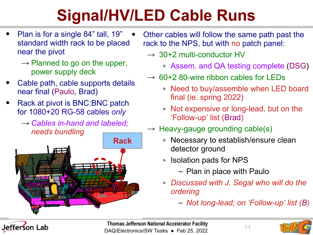# **Signal/HV/LED Cable Runs**

- Plan is for a single 84" tall, 19" standard width rack to be placed near the pivot
	- $\rightarrow$  Planned to go on the upper, power supply deck
- Cable path, cable supports details near final (Paulo, Brad)
- Rack at pivot is BNC:BNC patch for 1080+20 RG-58 cables *only*
	- → *Cables in-hand and labeled; needs bundling*



- Other cables will follow the same path past the rack to the NPS, but with no patch panel:
	- $\rightarrow$  30+2 multi-conductor HV
		- » Assem. and QA testing complete (DSG)
	- $\rightarrow$  60+2 80-wire ribbon cables for LEDs
		- » Need to buy/assemble when LED board final (ie. spring 2022)
		- » Not expensive or long-lead, but on the 'Follow-up' list (Brad)
	- $\rightarrow$  Heavy-gauge grounding cable(s)
		- » Necessary to establish/ensure clean detector ground
		- » Isolation pads for NPS
			- Plan in place with Paulo
		- » *Discussed with J. Segal who will do the ordering*
			- *Not long-lead; on 'Follow-up' list (B)*



Thomas Jefferson National Accelerator Facility<br>DAQ/Electronics/SW Tasks ● Feb 25, 2022 11

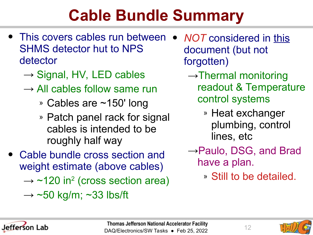#### **Cable Bundle Summary**

- This covers cables run between SHMS detector hut to NPS detector
	- $\rightarrow$  Signal, HV, LED cables
	- $\rightarrow$  All cables follow same run
		- » Cables are ~150' long
		- » Patch panel rack for signal cables is intended to be roughly half way
- Cable bundle cross section and weight estimate (above cables)  $\rightarrow$  ~120 in<sup>2</sup> (cross section area)  $\rightarrow$  ~50 kg/m; ~33 lbs/ft
- *NOT* considered in this document (but not forgotten)
	- $\rightarrow$ Thermal monitoring readout & Temperature control systems
		- » Heat exchanger plumbing, control lines, etc
	- →Paulo, DSG, and Brad have a plan.
		- » Still to be detailed.